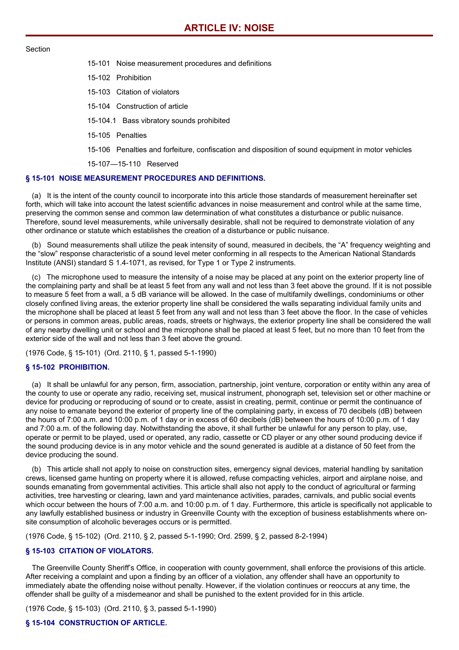#### Section

- 15-101 Noise measurement procedures and definitions
- 15-102 Prohibition
- 15-103 Citation of violators
- 15-104 Construction of article
- 15-104.1 Bass vibratory sounds prohibited
- 15-105 Penalties
- 15-106 Penalties and forfeiture, confiscation and disposition of sound equipment in motor vehicles

15-107—15-110 Reserved

# **§ 15-101 NOISE MEASUREMENT PROCEDURES AND DEFINITIONS.**

(a) It is the intent of the county council to incorporate into this article those standards of measurement hereinafter set forth, which will take into account the latest scientific advances in noise measurement and control while at the same time, preserving the common sense and common law determination of what constitutes a disturbance or public nuisance. Therefore, sound level measurements, while universally desirable, shall not be required to demonstrate violation of any other ordinance or statute which establishes the creation of a disturbance or public nuisance.

(b) Sound measurements shall utilize the peak intensity of sound, measured in decibels, the "A" frequency weighting and the "slow" response characteristic of a sound level meter conforming in all respects to the American National Standards Institute (ANSI) standard S 1.4-1071, as revised, for Type 1 or Type 2 instruments.

(c) The microphone used to measure the intensity of a noise may be placed at any point on the exterior property line of the complaining party and shall be at least 5 feet from any wall and not less than 3 feet above the ground. If it is not possible to measure 5 feet from a wall, a 5 dB variance will be allowed. In the case of multifamily dwellings, condominiums or other closely confined living areas, the exterior property line shall be considered the walls separating individual family units and the microphone shall be placed at least 5 feet from any wall and not less than 3 feet above the floor. In the case of vehicles or persons in common areas, public areas, roads, streets or highways, the exterior property line shall be considered the wall of any nearby dwelling unit or school and the microphone shall be placed at least 5 feet, but no more than 10 feet from the exterior side of the wall and not less than 3 feet above the ground.

(1976 Code, § 15-101) (Ord. 2110, § 1, passed 5-1-1990)

## **§ 15-102 PROHIBITION.**

(a) It shall be unlawful for any person, firm, association, partnership, joint venture, corporation or entity within any area of the county to use or operate any radio, receiving set, musical instrument, phonograph set, television set or other machine or device for producing or reproducing of sound or to create, assist in creating, permit, continue or permit the continuance of any noise to emanate beyond the exterior of property line of the complaining party, in excess of 70 decibels (dB) between the hours of 7:00 a.m. and 10:00 p.m. of 1 day or in excess of 60 decibels (dB) between the hours of 10:00 p.m. of 1 day and 7:00 a.m. of the following day. Notwithstanding the above, it shall further be unlawful for any person to play, use, operate or permit to be played, used or operated, any radio, cassette or CD player or any other sound producing device if the sound producing device is in any motor vehicle and the sound generated is audible at a distance of 50 feet from the device producing the sound.

(b) This article shall not apply to noise on construction sites, emergency signal devices, material handling by sanitation crews, licensed game hunting on property where it is allowed, refuse compacting vehicles, airport and airplane noise, and sounds emanating from governmental activities. This article shall also not apply to the conduct of agricultural or farming activities, tree harvesting or clearing, lawn and yard maintenance activities, parades, carnivals, and public social events which occur between the hours of 7:00 a.m. and 10:00 p.m. of 1 day. Furthermore, this article is specifically not applicable to any lawfully established business or industry in Greenville County with the exception of business establishments where onsite consumption of alcoholic beverages occurs or is permitted.

(1976 Code, § 15-102) (Ord. 2110, § 2, passed 5-1-1990; Ord. 2599, § 2, passed 8-2-1994)

## **§ 15-103 CITATION OF VIOLATORS.**

The Greenville County Sheriff's Office, in cooperation with county government, shall enforce the provisions of this article. After receiving a complaint and upon a finding by an officer of a violation, any offender shall have an opportunity to immediately abate the offending noise without penalty. However, if the violation continues or reoccurs at any time, the offender shall be guilty of a misdemeanor and shall be punished to the extent provided for in this article.

(1976 Code, § 15-103) (Ord. 2110, § 3, passed 5-1-1990)

## **§ 15-104 CONSTRUCTION OF ARTICLE.**